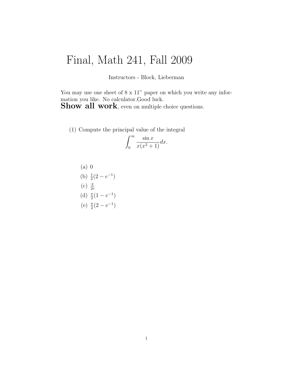## Final, Math 241, Fall 2009

Instructors - Block, Lieberman

You may use one sheet of  $8 \times 11$ " paper on which you write any information you like. No calculator.Good luck.

Show all work, even on multiple choice questions.

(1) Compute the principal value of the integral

$$
\int_0^\infty \frac{\sin x}{x(x^2+1)} dx.
$$

(a) 0  
\n(b) 
$$
\frac{1}{2}(2 - e^{-1})
$$
  
\n(c)  $\frac{\pi}{2e}$   
\n(d)  $\frac{\pi}{2}(1 - e^{-1})$   
\n(e)  $\frac{\pi}{2}(2 - e^{-1})$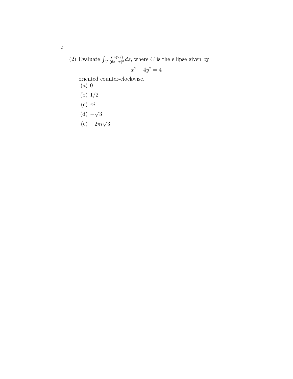(2) Evaluate  $\int_C$  $\sin(2z)$  $\frac{\sin(2z)}{(6z-\pi)^3}$ dz, where C is the ellipse given by

$$
x^2 + 4y^2 = 4
$$

oriented counter-clockwise.

- (a) 0
- (b) 1/2
- (c)  $\pi i$
- $(d) -$ √ 3
- (e)  $-2\pi i\sqrt{3}$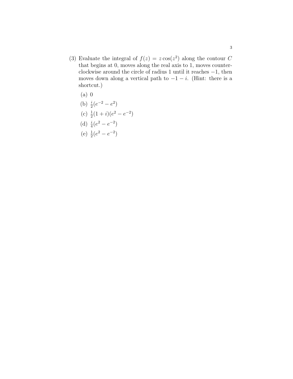- (3) Evaluate the integral of  $f(z) = z \cos(z^2)$  along the contour C that begins at 0, moves along the real axis to 1, moves counterclockwise around the circle of radius 1 until it reaches −1, then moves down along a vertical path to  $-1 - i$ . (Hint: there is a shortcut.)
	- (a) 0

(b) 
$$
\frac{i}{2}(e^{-2} - e^2)
$$

(c) 
$$
\frac{1}{2}(1+i)(e^2 - e^{-2})
$$

(d) 
$$
\frac{i}{4}(e^2 - e^{-2})
$$

(e) 
$$
\frac{1}{2}(e^2 - e^{-2})
$$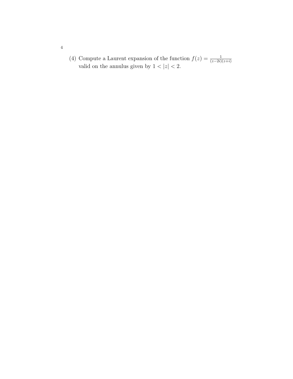(4) Compute a Laurent expansion of the function  $f(z) = \frac{1}{(z-2i)(z+i)}$ valid on the annulus given by  $1 < |z| < 2$ .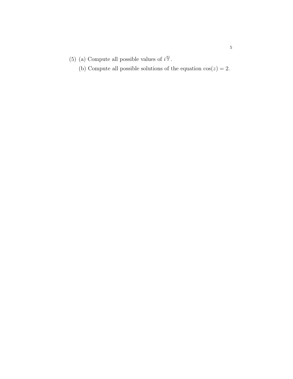- (5) (a) Compute all possible values of  $i^{\frac{\pi i}{2}}$ .
	- (b) Compute all possible solutions of the equation  $cos(z) = 2$ .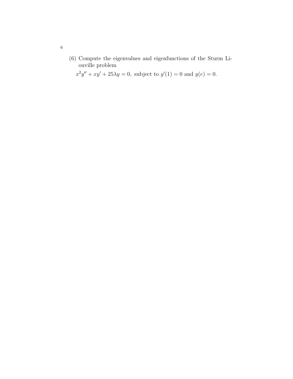(6) Compute the eigenvalues and eigenfunctions of the Sturm Liouville problem

 $x^2y'' + xy' + 25\lambda y = 0$ , subject to  $y'(1) = 0$  and  $y(e) = 0$ .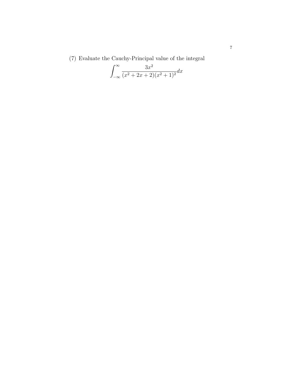(7) Evaluate the Cauchy-Principal value of the integral

$$
\int_{-\infty}^{\infty} \frac{3x^2}{(x^2 + 2x + 2)(x^2 + 1)^2} dx
$$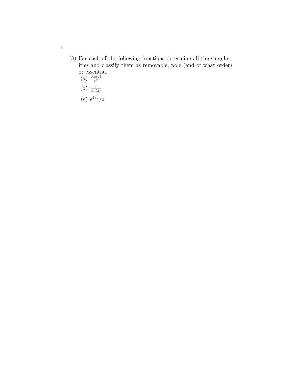- (8) For each of the following functions determine all the singularities and classify them as removable, pole (and of what order) or essential.
	- (a)  $\frac{\cos(z)}{z^2}$
	- (b)  $\frac{z}{\sin(z)}$
	- (c)  $e^{1/z}/z$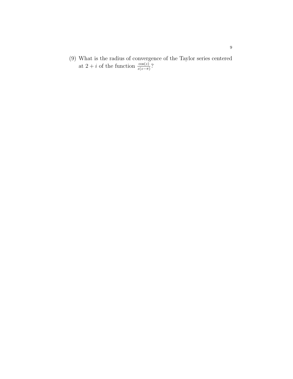(9) What is the radius of convergence of the Taylor series centered at 2 + *i* of the function  $\frac{\cos(z)}{z(z-\pi)}$ ?